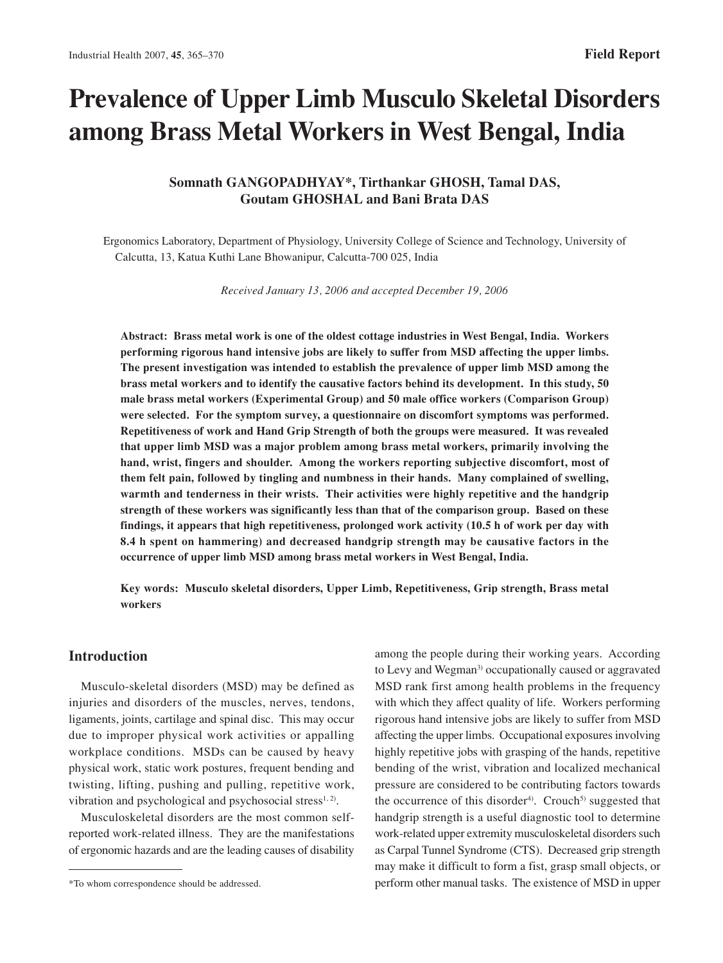# **Prevalence of Upper Limb Musculo Skeletal Disorders among Brass Metal Workers in West Bengal, India**

## **Somnath GANGOPADHYAY\*, Tirthankar GHOSH, Tamal DAS, Goutam GHOSHAL and Bani Brata DAS**

Ergonomics Laboratory, Department of Physiology, University College of Science and Technology, University of Calcutta, 13, Katua Kuthi Lane Bhowanipur, Calcutta-700 025, India

*Received January 13, 2006 and accepted December 19, 2006*

**Abstract: Brass metal work is one of the oldest cottage industries in West Bengal, India. Workers performing rigorous hand intensive jobs are likely to suffer from MSD affecting the upper limbs. The present investigation was intended to establish the prevalence of upper limb MSD among the brass metal workers and to identify the causative factors behind its development. In this study, 50 male brass metal workers (Experimental Group) and 50 male office workers (Comparison Group) were selected. For the symptom survey, a questionnaire on discomfort symptoms was performed. Repetitiveness of work and Hand Grip Strength of both the groups were measured. It was revealed that upper limb MSD was a major problem among brass metal workers, primarily involving the hand, wrist, fingers and shoulder. Among the workers reporting subjective discomfort, most of them felt pain, followed by tingling and numbness in their hands. Many complained of swelling, warmth and tenderness in their wrists. Their activities were highly repetitive and the handgrip strength of these workers was significantly less than that of the comparison group. Based on these findings, it appears that high repetitiveness, prolonged work activity (10.5 h of work per day with 8.4 h spent on hammering) and decreased handgrip strength may be causative factors in the occurrence of upper limb MSD among brass metal workers in West Bengal, India.**

**Key words: Musculo skeletal disorders, Upper Limb, Repetitiveness, Grip strength, Brass metal workers**

## **Introduction**

Musculo-skeletal disorders (MSD) may be defined as injuries and disorders of the muscles, nerves, tendons, ligaments, joints, cartilage and spinal disc. This may occur due to improper physical work activities or appalling workplace conditions. MSDs can be caused by heavy physical work, static work postures, frequent bending and twisting, lifting, pushing and pulling, repetitive work, vibration and psychological and psychosocial stress $1, 2$ .

Musculoskeletal disorders are the most common selfreported work-related illness. They are the manifestations of ergonomic hazards and are the leading causes of disability

among the people during their working years. According to Levy and Wegman<sup>3)</sup> occupationally caused or aggravated MSD rank first among health problems in the frequency with which they affect quality of life. Workers performing rigorous hand intensive jobs are likely to suffer from MSD affecting the upper limbs. Occupational exposures involving highly repetitive jobs with grasping of the hands, repetitive bending of the wrist, vibration and localized mechanical pressure are considered to be contributing factors towards the occurrence of this disorder<sup>4)</sup>. Crouch<sup>5)</sup> suggested that handgrip strength is a useful diagnostic tool to determine work-related upper extremity musculoskeletal disorders such as Carpal Tunnel Syndrome (CTS). Decreased grip strength may make it difficult to form a fist, grasp small objects, or perform other manual tasks. The existence of MSD in upper

<sup>\*</sup>To whom correspondence should be addressed.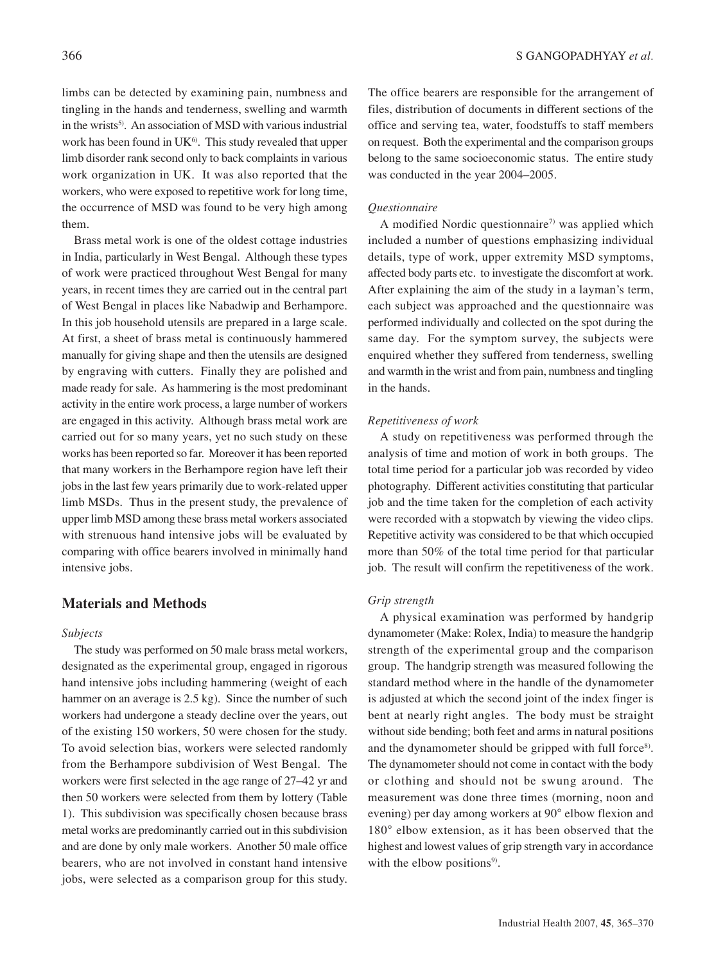limbs can be detected by examining pain, numbness and tingling in the hands and tenderness, swelling and warmth in the wrists<sup>5)</sup>. An association of MSD with various industrial work has been found in  $UK^6$ . This study revealed that upper limb disorder rank second only to back complaints in various work organization in UK. It was also reported that the workers, who were exposed to repetitive work for long time, the occurrence of MSD was found to be very high among them.

Brass metal work is one of the oldest cottage industries in India, particularly in West Bengal. Although these types of work were practiced throughout West Bengal for many years, in recent times they are carried out in the central part of West Bengal in places like Nabadwip and Berhampore. In this job household utensils are prepared in a large scale. At first, a sheet of brass metal is continuously hammered manually for giving shape and then the utensils are designed by engraving with cutters. Finally they are polished and made ready for sale. As hammering is the most predominant activity in the entire work process, a large number of workers are engaged in this activity. Although brass metal work are carried out for so many years, yet no such study on these works has been reported so far. Moreover it has been reported that many workers in the Berhampore region have left their jobs in the last few years primarily due to work-related upper limb MSDs. Thus in the present study, the prevalence of upper limb MSD among these brass metal workers associated with strenuous hand intensive jobs will be evaluated by comparing with office bearers involved in minimally hand intensive jobs.

## **Materials and Methods**

#### *Subjects*

The study was performed on 50 male brass metal workers, designated as the experimental group, engaged in rigorous hand intensive jobs including hammering (weight of each hammer on an average is 2.5 kg). Since the number of such workers had undergone a steady decline over the years, out of the existing 150 workers, 50 were chosen for the study. To avoid selection bias, workers were selected randomly from the Berhampore subdivision of West Bengal. The workers were first selected in the age range of 27–42 yr and then 50 workers were selected from them by lottery (Table 1). This subdivision was specifically chosen because brass metal works are predominantly carried out in this subdivision and are done by only male workers. Another 50 male office bearers, who are not involved in constant hand intensive jobs, were selected as a comparison group for this study.

The office bearers are responsible for the arrangement of files, distribution of documents in different sections of the office and serving tea, water, foodstuffs to staff members on request. Both the experimental and the comparison groups belong to the same socioeconomic status. The entire study was conducted in the year 2004–2005.

#### *Questionnaire*

A modified Nordic questionnaire<sup>7)</sup> was applied which included a number of questions emphasizing individual details, type of work, upper extremity MSD symptoms, affected body parts etc. to investigate the discomfort at work. After explaining the aim of the study in a layman's term, each subject was approached and the questionnaire was performed individually and collected on the spot during the same day. For the symptom survey, the subjects were enquired whether they suffered from tenderness, swelling and warmth in the wrist and from pain, numbness and tingling in the hands.

#### *Repetitiveness of work*

A study on repetitiveness was performed through the analysis of time and motion of work in both groups. The total time period for a particular job was recorded by video photography. Different activities constituting that particular job and the time taken for the completion of each activity were recorded with a stopwatch by viewing the video clips. Repetitive activity was considered to be that which occupied more than 50% of the total time period for that particular job. The result will confirm the repetitiveness of the work.

#### *Grip strength*

A physical examination was performed by handgrip dynamometer (Make: Rolex, India) to measure the handgrip strength of the experimental group and the comparison group. The handgrip strength was measured following the standard method where in the handle of the dynamometer is adjusted at which the second joint of the index finger is bent at nearly right angles. The body must be straight without side bending; both feet and arms in natural positions and the dynamometer should be gripped with full force<sup>8)</sup>. The dynamometer should not come in contact with the body or clothing and should not be swung around. The measurement was done three times (morning, noon and evening) per day among workers at 90° elbow flexion and 180° elbow extension, as it has been observed that the highest and lowest values of grip strength vary in accordance with the elbow positions $9$ .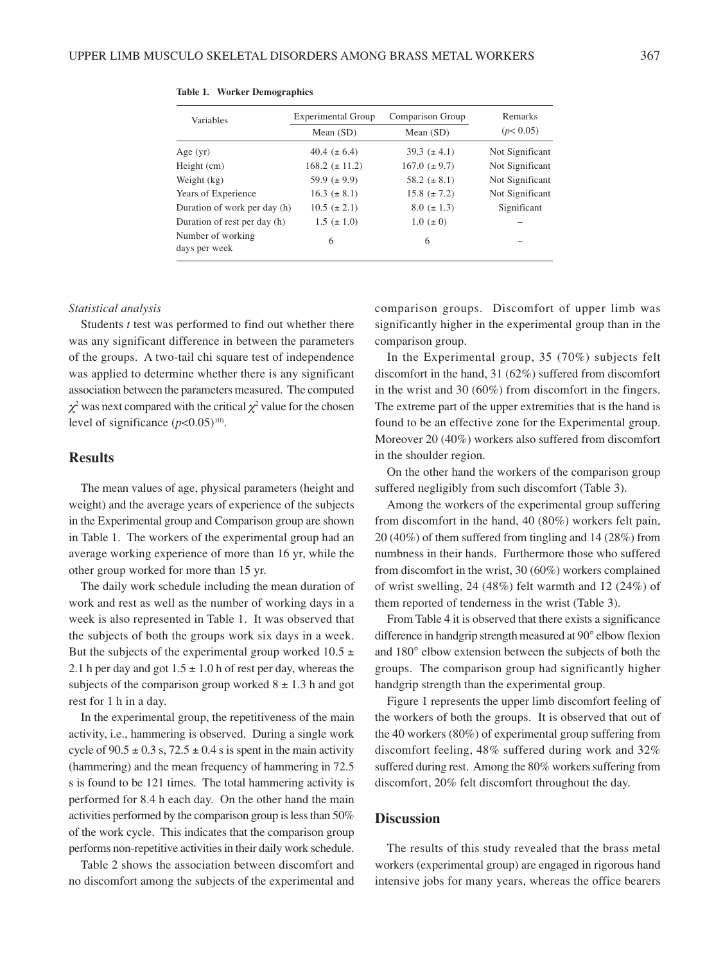| Variables                          | <b>Experimental Group</b> | Comparison Group  | Remarks         |  |
|------------------------------------|---------------------------|-------------------|-----------------|--|
|                                    | Mean $(SD)$               | Mean $(SD)$       | (p< 0.05)       |  |
| Age $(yr)$                         | 40.4 $(\pm 6.4)$          | $39.3~(\pm 4.1)$  | Not Significant |  |
| Height (cm)                        | $168.2 \ (\pm 11.2)$      | $167.0~(\pm 9.7)$ | Not Significant |  |
| Weight (kg)                        | 59.9 $(\pm 9.9)$          | 58.2 $(\pm 8.1)$  | Not Significant |  |
| Years of Experience                | $16.3~(\pm 8.1)$          | $15.8~(\pm 7.2)$  | Not Significant |  |
| Duration of work per day (h)       | $10.5~(\pm 2.1)$          | $8.0 \ (\pm 1.3)$ | Significant     |  |
| Duration of rest per day (h)       | $1.5~(\pm 1.0)$           | $1.0~(\pm 0)$     |                 |  |
| Number of working<br>days per week | 6                         | 6                 |                 |  |

#### **Table 1. Worker Demographics**

## *Statistical analysis*

Students *t* test was performed to find out whether there was any significant difference in between the parameters of the groups. A two-tail chi square test of independence was applied to determine whether there is any significant association between the parameters measured. The computed  $\chi^2$  was next compared with the critical  $\chi^2$  value for the chosen level of significance  $(p<0.05)^{10}$ .

#### **Results**

The mean values of age, physical parameters (height and weight) and the average years of experience of the subjects in the Experimental group and Comparison group are shown in Table 1. The workers of the experimental group had an average working experience of more than 16 yr, while the other group worked for more than 15 yr.

The daily work schedule including the mean duration of work and rest as well as the number of working days in a week is also represented in Table 1. It was observed that the subjects of both the groups work six days in a week. But the subjects of the experimental group worked  $10.5 \pm$ 2.1 h per day and got  $1.5 \pm 1.0$  h of rest per day, whereas the subjects of the comparison group worked  $8 \pm 1.3$  h and got rest for 1 h in a day.

In the experimental group, the repetitiveness of the main activity, i.e., hammering is observed. During a single work cycle of  $90.5 \pm 0.3$  s,  $72.5 \pm 0.4$  s is spent in the main activity (hammering) and the mean frequency of hammering in 72.5 s is found to be 121 times. The total hammering activity is performed for 8.4 h each day. On the other hand the main activities performed by the comparison group is less than 50% of the work cycle. This indicates that the comparison group performs non-repetitive activities in their daily work schedule.

Table 2 shows the association between discomfort and no discomfort among the subjects of the experimental and comparison groups. Discomfort of upper limb was significantly higher in the experimental group than in the comparison group.

In the Experimental group, 35 (70%) subjects felt discomfort in the hand, 31 (62%) suffered from discomfort in the wrist and 30 (60%) from discomfort in the fingers. The extreme part of the upper extremities that is the hand is found to be an effective zone for the Experimental group. Moreover 20 (40%) workers also suffered from discomfort in the shoulder region.

On the other hand the workers of the comparison group suffered negligibly from such discomfort (Table 3).

Among the workers of the experimental group suffering from discomfort in the hand, 40 (80%) workers felt pain, 20 (40%) of them suffered from tingling and 14 (28%) from numbness in their hands. Furthermore those who suffered from discomfort in the wrist, 30 (60%) workers complained of wrist swelling, 24 (48%) felt warmth and 12 (24%) of them reported of tenderness in the wrist (Table 3).

From Table 4 it is observed that there exists a significance difference in handgrip strength measured at 90° elbow flexion and 180° elbow extension between the subjects of both the groups. The comparison group had significantly higher handgrip strength than the experimental group.

Figure 1 represents the upper limb discomfort feeling of the workers of both the groups. It is observed that out of the 40 workers (80%) of experimental group suffering from discomfort feeling, 48% suffered during work and 32% suffered during rest. Among the 80% workers suffering from discomfort, 20% felt discomfort throughout the day.

#### **Discussion**

The results of this study revealed that the brass metal workers (experimental group) are engaged in rigorous hand intensive jobs for many years, whereas the office bearers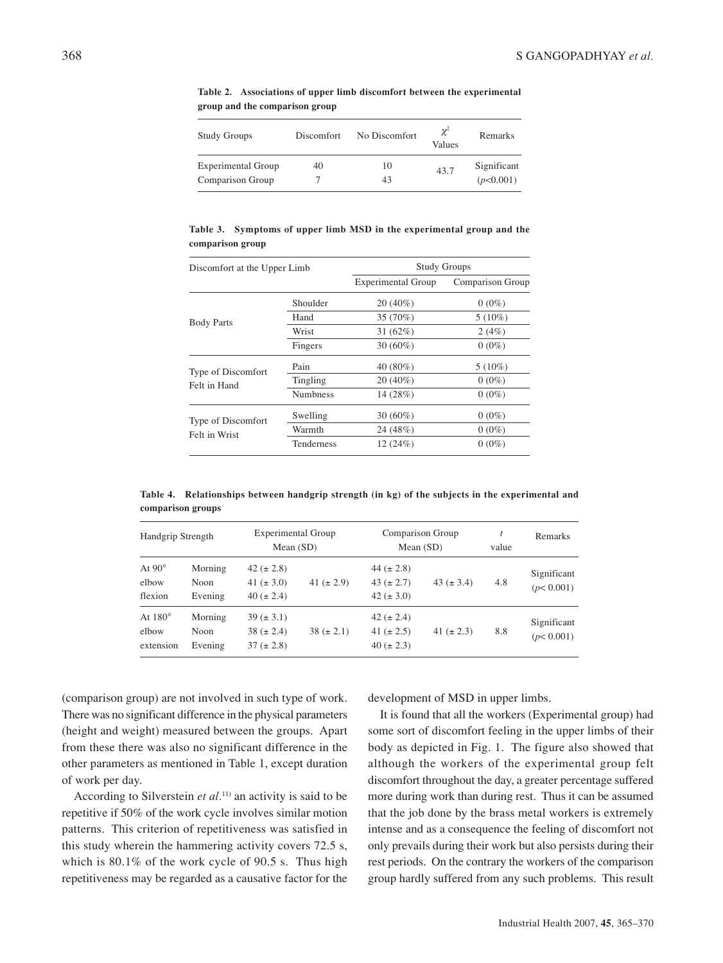| <b>Study Groups</b>       | Discomfort | No Discomfort | $\chi^2$<br>Values | Remarks     |
|---------------------------|------------|---------------|--------------------|-------------|
| <b>Experimental Group</b> | 40         | 10            | 43.7               | Significant |
| Comparison Group          |            | 43            |                    | (p<0.001)   |

**Table 2. Associations of upper limb discomfort between the experimental group and the comparison group**

**Table 3. Symptoms of upper limb MSD in the experimental group and the comparison group**

| Discomfort at the Upper Limb        |                   | <b>Study Groups</b> |                  |  |  |
|-------------------------------------|-------------------|---------------------|------------------|--|--|
|                                     |                   | Experimental Group  | Comparison Group |  |  |
|                                     | Shoulder          | $20(40\%)$          | $0(0\%)$         |  |  |
| <b>Body Parts</b>                   | Hand              | $35(70\%)$          | $5(10\%)$        |  |  |
|                                     | Wrist             | $31(62\%)$          | 2(4%)            |  |  |
|                                     | Fingers           | $30(60\%)$          | $0(0\%)$         |  |  |
| Type of Discomfort<br>Felt in Hand  | Pain              | 40 $(80\%)$         | $5(10\%)$        |  |  |
|                                     | Tingling          | $20(40\%)$          | $0(0\%)$         |  |  |
|                                     | <b>Numbness</b>   | 14 (28%)            | $0(0\%)$         |  |  |
| Type of Discomfort<br>Felt in Wrist | Swelling          | $30(60\%)$          | $0(0\%)$         |  |  |
|                                     | Warmth            | 24 (48%)            | $0(0\%)$         |  |  |
|                                     | <b>Tenderness</b> | 12(24%)             | $0(0\%)$         |  |  |

**Table 4. Relationships between handgrip strength (in kg) of the subjects in the experimental and comparison groups**

| Handgrip Strength                    |                            | <b>Experimental Group</b><br>Mean $(SD)$            |                 | Comparison Group<br>Mean $(SD)$                      |                 | t<br>value | Remarks                   |
|--------------------------------------|----------------------------|-----------------------------------------------------|-----------------|------------------------------------------------------|-----------------|------------|---------------------------|
| At 90°<br>elbow<br>flexion           | Morning<br>Noon<br>Evening | $42 (\pm 2.8)$<br>41 ( $\pm$ 3.0)<br>$40 (\pm 2.4)$ | 41 ( $\pm$ 2.9) | 44 ( $\pm$ 2.8)<br>43 $(\pm 2.7)$<br>42 ( $\pm$ 3.0) | 43 ( $\pm$ 3.4) | 4.8        | Significant<br>(p< 0.001) |
| At $180^\circ$<br>elbow<br>extension | Morning<br>Noon<br>Evening | $39 (\pm 3.1)$<br>$38 (\pm 2.4)$<br>$37 (\pm 2.8)$  | $38 (\pm 2.1)$  | 42 ( $\pm$ 2.4)<br>41 ( $\pm$ 2.5)<br>$40 (\pm 2.3)$ | 41 ( $\pm$ 2.3) | 8.8        | Significant<br>(p< 0.001) |

(comparison group) are not involved in such type of work. There was no significant difference in the physical parameters (height and weight) measured between the groups. Apart from these there was also no significant difference in the other parameters as mentioned in Table 1, except duration of work per day.

According to Silverstein *et al.*11) an activity is said to be repetitive if 50% of the work cycle involves similar motion patterns. This criterion of repetitiveness was satisfied in this study wherein the hammering activity covers 72.5 s, which is  $80.1\%$  of the work cycle of 90.5 s. Thus high repetitiveness may be regarded as a causative factor for the development of MSD in upper limbs.

It is found that all the workers (Experimental group) had some sort of discomfort feeling in the upper limbs of their body as depicted in Fig. 1. The figure also showed that although the workers of the experimental group felt discomfort throughout the day, a greater percentage suffered more during work than during rest. Thus it can be assumed that the job done by the brass metal workers is extremely intense and as a consequence the feeling of discomfort not only prevails during their work but also persists during their rest periods. On the contrary the workers of the comparison group hardly suffered from any such problems. This result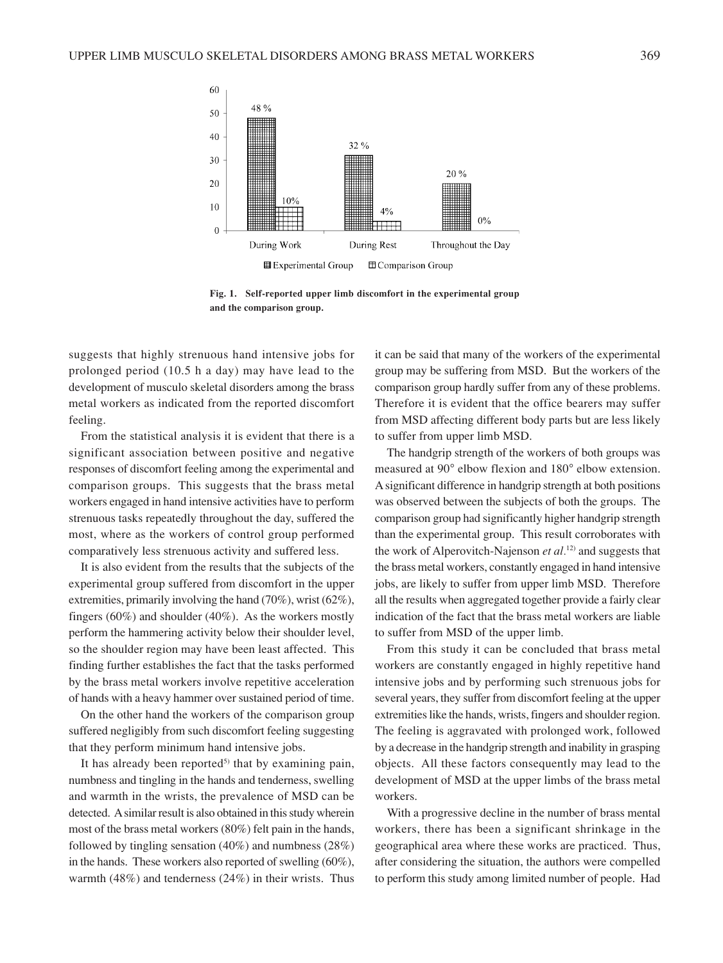

**Fig. 1. Self-reported upper limb discomfort in the experimental group and the comparison group.**

suggests that highly strenuous hand intensive jobs for prolonged period (10.5 h a day) may have lead to the development of musculo skeletal disorders among the brass metal workers as indicated from the reported discomfort feeling.

From the statistical analysis it is evident that there is a significant association between positive and negative responses of discomfort feeling among the experimental and comparison groups. This suggests that the brass metal workers engaged in hand intensive activities have to perform strenuous tasks repeatedly throughout the day, suffered the most, where as the workers of control group performed comparatively less strenuous activity and suffered less.

It is also evident from the results that the subjects of the experimental group suffered from discomfort in the upper extremities, primarily involving the hand (70%), wrist (62%), fingers (60%) and shoulder (40%). As the workers mostly perform the hammering activity below their shoulder level, so the shoulder region may have been least affected. This finding further establishes the fact that the tasks performed by the brass metal workers involve repetitive acceleration of hands with a heavy hammer over sustained period of time.

On the other hand the workers of the comparison group suffered negligibly from such discomfort feeling suggesting that they perform minimum hand intensive jobs.

It has already been reported<sup>5)</sup> that by examining pain, numbness and tingling in the hands and tenderness, swelling and warmth in the wrists, the prevalence of MSD can be detected. A similar result is also obtained in this study wherein most of the brass metal workers (80%) felt pain in the hands, followed by tingling sensation (40%) and numbness (28%) in the hands. These workers also reported of swelling (60%), warmth (48%) and tenderness (24%) in their wrists. Thus

it can be said that many of the workers of the experimental group may be suffering from MSD. But the workers of the comparison group hardly suffer from any of these problems. Therefore it is evident that the office bearers may suffer from MSD affecting different body parts but are less likely to suffer from upper limb MSD.

The handgrip strength of the workers of both groups was measured at 90° elbow flexion and 180° elbow extension. A significant difference in handgrip strength at both positions was observed between the subjects of both the groups. The comparison group had significantly higher handgrip strength than the experimental group. This result corroborates with the work of Alperovitch-Najenson *et al.*12) and suggests that the brass metal workers, constantly engaged in hand intensive jobs, are likely to suffer from upper limb MSD. Therefore all the results when aggregated together provide a fairly clear indication of the fact that the brass metal workers are liable to suffer from MSD of the upper limb.

From this study it can be concluded that brass metal workers are constantly engaged in highly repetitive hand intensive jobs and by performing such strenuous jobs for several years, they suffer from discomfort feeling at the upper extremities like the hands, wrists, fingers and shoulder region. The feeling is aggravated with prolonged work, followed by a decrease in the handgrip strength and inability in grasping objects. All these factors consequently may lead to the development of MSD at the upper limbs of the brass metal workers.

With a progressive decline in the number of brass mental workers, there has been a significant shrinkage in the geographical area where these works are practiced. Thus, after considering the situation, the authors were compelled to perform this study among limited number of people. Had